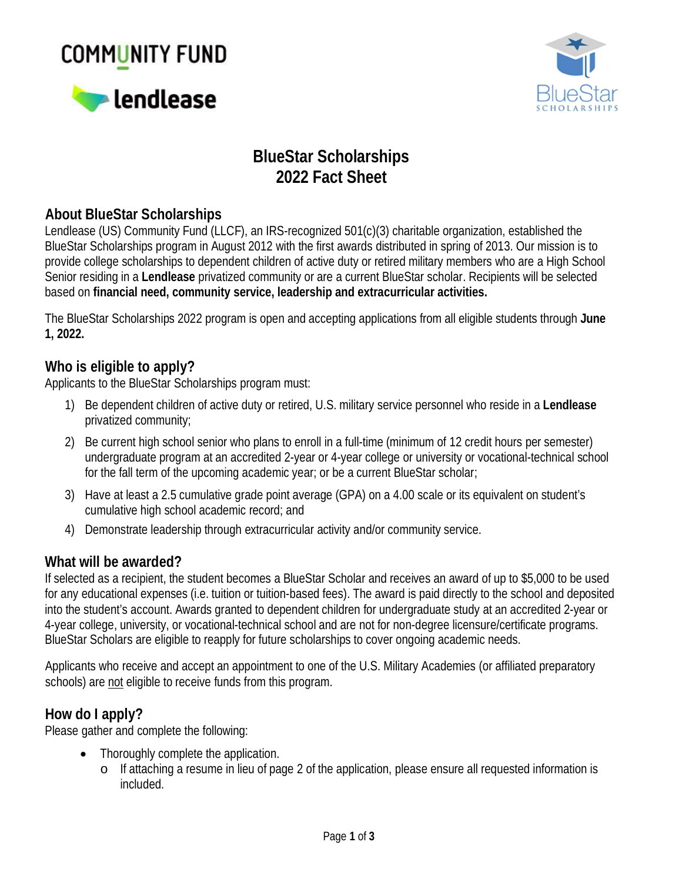# **COMMUNITY FUND**





# **BlueStar Scholarships 2022 Fact Sheet**

## **About BlueStar Scholarships**

Lendlease (US) Community Fund (LLCF), an IRS-recognized 501(c)(3) charitable organization, established the BlueStar Scholarships program in August 2012 with the first awards distributed in spring of 2013. Our mission is to provide college scholarships to dependent children of active duty or retired military members who are a High School Senior residing in a **Lendlease** privatized community or are a current BlueStar scholar. Recipients will be selected based on **financial need, community service, leadership and extracurricular activities.**

The BlueStar Scholarships 2022 program is open and accepting applications from all eligible students through **June 1, 2022.**

#### **Who is eligible to apply?**

Applicants to the BlueStar Scholarships program must:

- 1) Be dependent children of active duty or retired, U.S. military service personnel who reside in a **Lendlease** privatized community;
- 2) Be current high school senior who plans to enroll in a full-time (minimum of 12 credit hours per semester) undergraduate program at an accredited 2-year or 4-year college or university or vocational-technical school for the fall term of the upcoming academic year; or be a current BlueStar scholar;
- 3) Have at least a 2.5 cumulative grade point average (GPA) on a 4.00 scale or its equivalent on student's cumulative high school academic record; and
- 4) Demonstrate leadership through extracurricular activity and/or community service.

#### **What will be awarded?**

If selected as a recipient, the student becomes a BlueStar Scholar and receives an award of up to \$5,000 to be used for any educational expenses (i.e. tuition or tuition-based fees). The award is paid directly to the school and deposited into the student's account. Awards granted to dependent children for undergraduate study at an accredited 2-year or 4-year college, university, or vocational-technical school and are not for non-degree licensure/certificate programs. BlueStar Scholars are eligible to reapply for future scholarships to cover ongoing academic needs.

Applicants who receive and accept an appointment to one of the U.S. Military Academies (or affiliated preparatory schools) are not eligible to receive funds from this program.

#### **How do I apply?**

Please gather and complete the following:

- · Thoroughly complete the application.
	- o If attaching a resume in lieu of page 2 of the application, please ensure all requested information is included.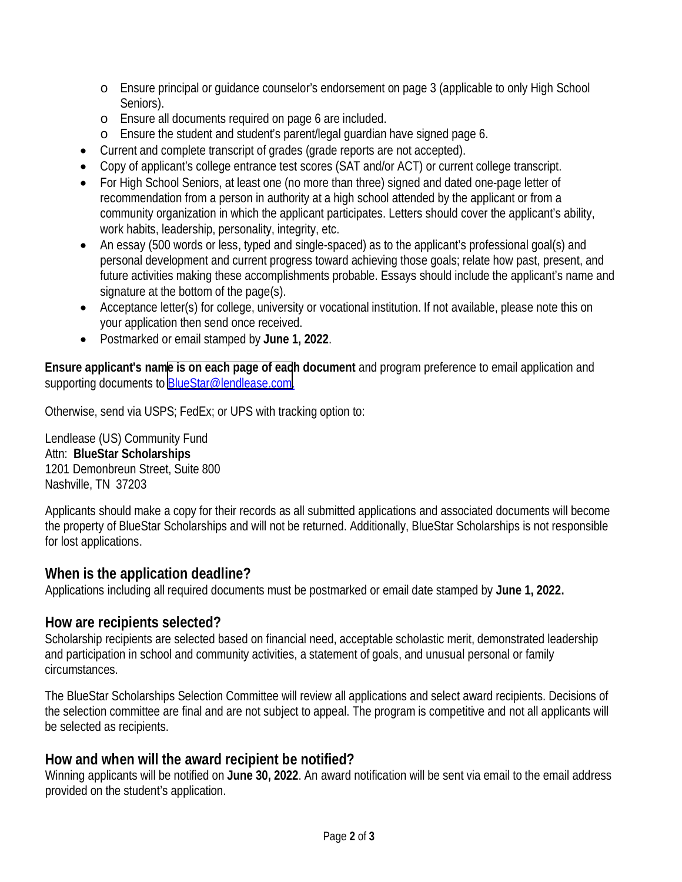- o Ensure principal or guidance counselor's endorsement on page 3 (applicable to only High School Seniors).
- o Ensure all documents required on page 6 are included.
- o Ensure the student and student's parent/legal guardian have signed page 6.
- · Current and complete transcript of grades (grade reports are not accepted).
- · Copy of applicant's college entrance test scores (SAT and/or ACT) or current college transcript.
- · For High School Seniors, at least one (no more than three) signed and dated one-page letter of recommendation from a person in authority at a high school attended by the applicant or from a community organization in which the applicant participates. Letters should cover the applicant's ability, work habits, leadership, personality, integrity, etc.
- · An essay (500 words or less, typed and single-spaced) as to the applicant's professional goal(s) and personal development and current progress toward achieving those goals; relate how past, present, and future activities making these accomplishments probable. Essays should include the applicant's name and signature at the bottom of the page(s).
- · Acceptance letter(s) for college, university or vocational institution. If not available, please note this on your application then send once received.
- · Postmarked or email stamped by **June 1, 2022**.

**Ensure applicant's nam[e is on each page of eac](mailto:BlueStar@lendlease.com)h document** and program preference to email application and supporting documents to BlueStar@lendlease.com.

Otherwise, send via USPS; FedEx; or UPS with tracking option to:

Lendlease (US) Community Fund Attn: **BlueStar Scholarships** 1201 Demonbreun Street, Suite 800 Nashville, TN 37203

Applicants should make a copy for their records as all submitted applications and associated documents will become the property of BlueStar Scholarships and will not be returned. Additionally, BlueStar Scholarships is not responsible for lost applications.

**When is the application deadline?** Applications including all required documents must be postmarked or email date stamped by **June 1, 2022.**

#### **How are recipients selected?**

Scholarship recipients are selected based on financial need, acceptable scholastic merit, demonstrated leadership and participation in school and community activities, a statement of goals, and unusual personal or family circumstances.

The BlueStar Scholarships Selection Committee will review all applications and select award recipients. Decisions of the selection committee are final and are not subject to appeal. The program is competitive and not all applicants will be selected as recipients.

**How and when will the award recipient be notified?**

Winning applicants will be notified on **June 30, 2022**. An award notification will be sent via email to the email address provided on the student's application.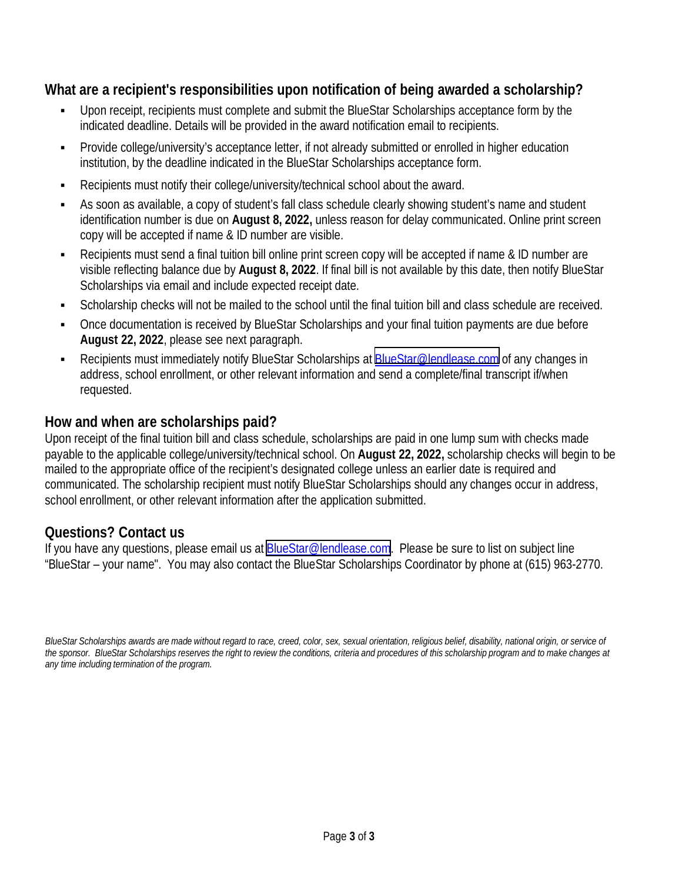**What are a recipient's responsibilities upon notification of being awarded a scholarship?**

- Upon receipt, recipients must complete and submit the BlueStar Scholarships acceptance form by the indicated deadline. Details will be provided in the award notification email to recipients.
- Provide college/university's acceptance letter, if not already submitted or enrolled in higher education institution, by the deadline indicated in the BlueStar Scholarships acceptance form.
- Recipients must notify their college/university/technical school about the award.
- As soon as available, a copy of student's fall class schedule clearly showing student's name and student identification number is due on **August 8, 2022,** unless reason for delay communicated. Online print screen copy will be accepted if name & ID number are visible.
- Recipients must send a final tuition bill online print screen copy will be accepted if name & ID number are visible reflecting balance due by **August 8, 2022**. If final bill is not available by this date, then notify BlueStar Scholarships via email and include expected receipt date.
- § Scholarship checks will not be mailed to the school until the final tuition bill and class schedule are received.
- § Once documentation is received by BlueStar Scholarships and your final tuition payments are due before **August 22, 2022**, please see next paragraph.
- Recipients must immediately notify BlueStar Scholarships at [BlueStar@lendlease.com](mailto:BlueStar@lendlease.com) of any changes in address, school enrollment, or other relevant information and send a complete/final transcript if/when requested.

#### **How and when are scholarships paid?**

Upon receipt of the final tuition bill and class schedule, scholarships are paid in one lump sum with checks made payable to the applicable college/university/technical school. On **August 22, 2022,** scholarship checks will begin to be mailed to the appropriate office of the recipient's designated college unless an earlier date is required and communicated. The scholarship recipient must notify BlueStar Scholarships should any changes occur in address, school enrollment, or other relevant information after the application submitted.

### **Questions? Contact us**

If you have any questions, please email us at **[BlueStar@lendlease.com](mailto:BlueStar@lendlease.com).** Please be sure to list on subject line "BlueStar – your name". You may also contact the BlueStar Scholarships Coordinator by phone at (615) 963-2770.

*BlueStar Scholarships awards are made without regard to race, creed, color, sex, sexual orientation, religious belief, disability, national origin, or service of the sponsor. BlueStar Scholarships reserves the right to review the conditions, criteria and procedures of this scholarship program and to make changes at any time including termination of the program.*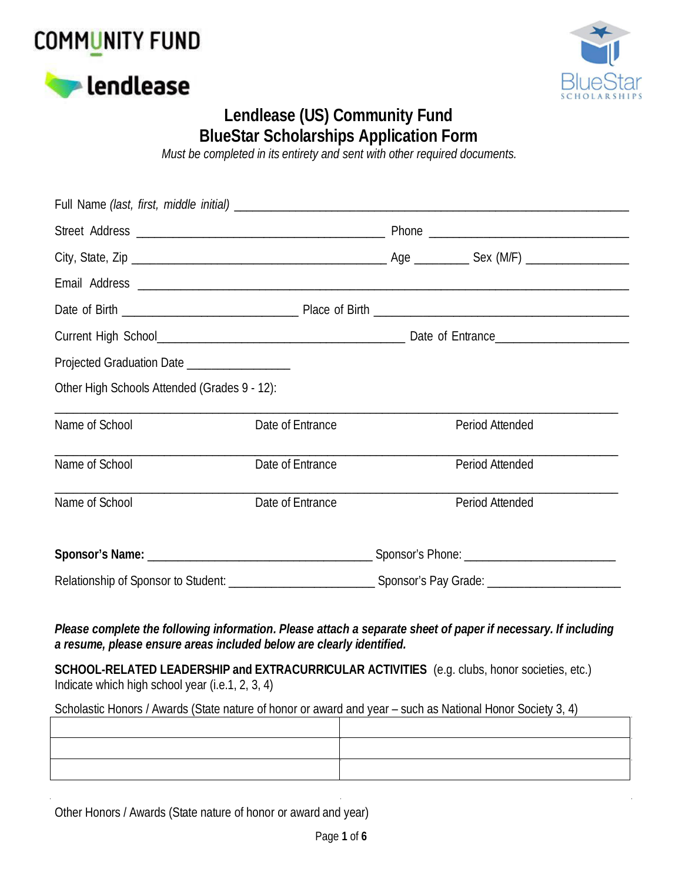





## **Lendlease (US) Community Fund BlueStar Scholarships Application Form**

*Must be completed in its entirety and sent with other required documents.*

| Projected Graduation Date ____________________ |                  |                 |
|------------------------------------------------|------------------|-----------------|
| Other High Schools Attended (Grades 9 - 12):   |                  |                 |
| Name of School                                 | Date of Entrance | Period Attended |
| Name of School                                 | Date of Entrance | Period Attended |
| Name of School                                 | Date of Entrance | Period Attended |
|                                                |                  |                 |
|                                                |                  |                 |

*Please complete the following information. Please attach a separate sheet of paper if necessary. If including a resume, please ensure areas included below are clearly identified.*

**SCHOOL-RELATED LEADERSHIP and EXTRACURRICULAR ACTIVITIES** (e.g. clubs, honor societies, etc.) Indicate which high school year (i.e.1, 2, 3, 4)

Scholastic Honors / Awards (State nature of honor or award and year – such as National Honor Society 3, 4)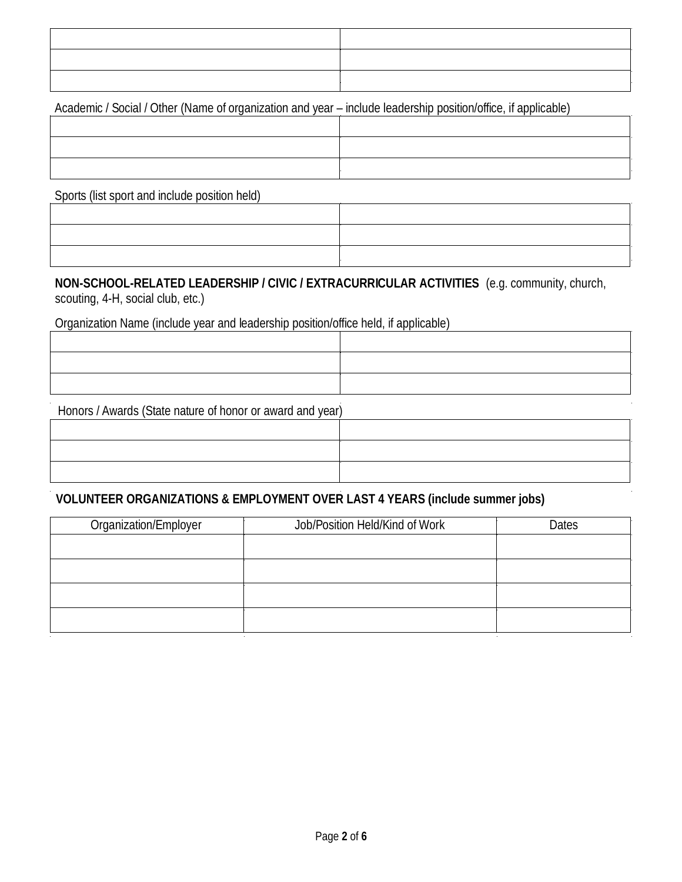Academic / Social / Other (Name of organization and year – include leadership position/office, if applicable)

Sports (list sport and include position held)

**NON-SCHOOL-RELATED LEADERSHIP / CIVIC / EXTRACURRICULAR ACTIVITIES** (e.g. community, church, scouting, 4-H, social club, etc.)

Organization Name (include year and leadership position/office held, if applicable)

Honors / Awards (State nature of honor or award and year)

**VOLUNTEER ORGANIZATIONS & EMPLOYMENT OVER LAST 4 YEARS (include summer jobs)**

| Organization/Employer | Job/Position Held/Kind of Work | Dates |
|-----------------------|--------------------------------|-------|
|                       |                                |       |
|                       |                                |       |
|                       |                                |       |
|                       |                                |       |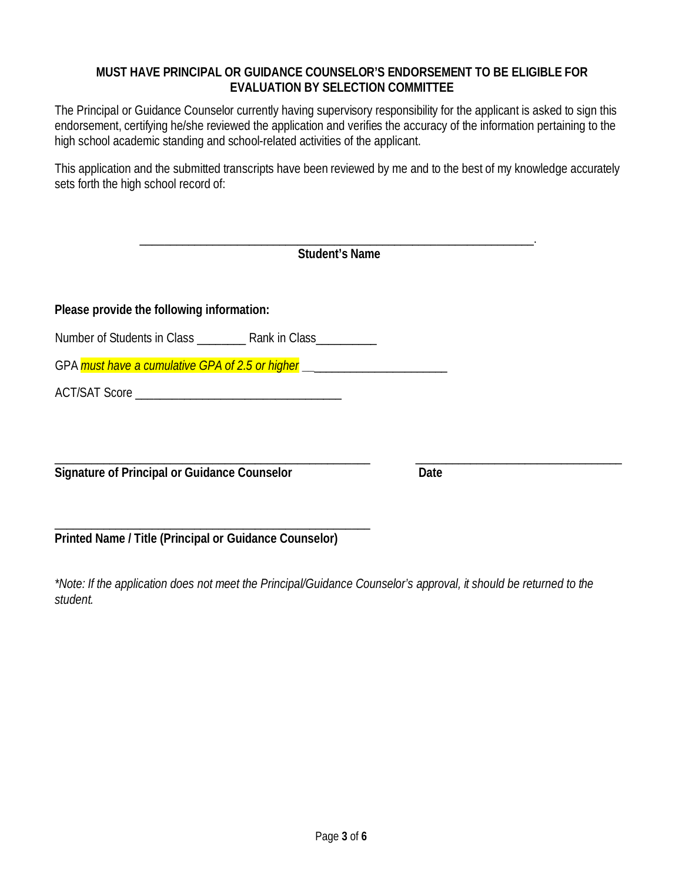#### **MUST HAVE PRINCIPAL OR GUIDANCE COUNSELOR'S ENDORSEMENT TO BE ELIGIBLE FOR EVALUATION BY SELECTION COMMITTEE**

The Principal or Guidance Counselor currently having supervisory responsibility for the applicant is asked to sign this endorsement, certifying he/she reviewed the application and verifies the accuracy of the information pertaining to the high school academic standing and school-related activities of the applicant.

This application and the submitted transcripts have been reviewed by me and to the best of my knowledge accurately sets forth the high school record of:

| <b>Student's Name</b>                                                            |      |
|----------------------------------------------------------------------------------|------|
| Please provide the following information:                                        |      |
|                                                                                  |      |
|                                                                                  |      |
| GPA must have a cumulative GPA of 2.5 or higher ________________________________ |      |
|                                                                                  |      |
|                                                                                  |      |
|                                                                                  |      |
| Signature of Principal or Guidance Counselor                                     | Date |

\_\_\_\_\_\_\_\_\_\_\_\_\_\_\_\_\_\_\_\_\_\_\_\_\_\_\_\_\_\_\_\_\_\_\_\_\_\_\_\_\_\_\_\_\_\_\_\_\_\_\_\_ **Printed Name / Title (Principal or Guidance Counselor)**

*\*Note: If the application does not meet the Principal/Guidance Counselor's approval, it should be returned to the student.*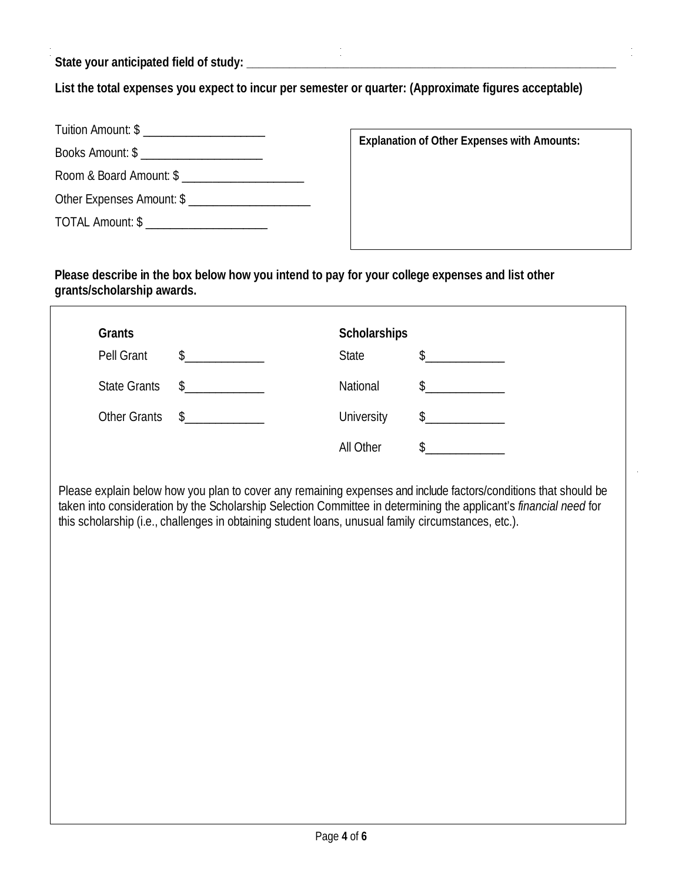**State your anticipated field of study: \_\_\_\_\_\_\_\_\_\_\_\_\_\_\_\_\_\_\_\_\_\_\_\_\_\_\_\_\_\_\_\_\_\_\_\_\_\_\_\_\_\_\_\_\_\_\_\_\_\_\_\_\_\_\_\_\_\_\_\_\_**

**List the total expenses you expect to incur per semester or quarter: (Approximate figures acceptable)**

| Tuition Amount: \$ ______________________ |  |
|-------------------------------------------|--|
|                                           |  |
| Room & Board Amount: \$                   |  |
| Other Expenses Amount: \$                 |  |
| TOTAL Amount: \$ ______________________   |  |

**Explanation of Other Expenses with Amounts:**

**Please describe in the box below how you intend to pay for your college expenses and list other grants/scholarship awards.**

| Grants              |               | Scholarships      |               |
|---------------------|---------------|-------------------|---------------|
| Pell Grant          | $\sim$        | <b>State</b>      | $\frac{1}{2}$ |
| <b>State Grants</b> | $\sim$        | National          | $\mathcal{S}$ |
| <b>Other Grants</b> | $\frac{1}{2}$ | <b>University</b> | $\frac{1}{2}$ |
|                     |               | All Other         |               |
|                     |               |                   |               |

Please explain below how you plan to cover any remaining expenses and include factors/conditions that should be taken into consideration by the Scholarship Selection Committee in determining the applicant's *financial need* for this scholarship (i.e., challenges in obtaining student loans, unusual family circumstances, etc.).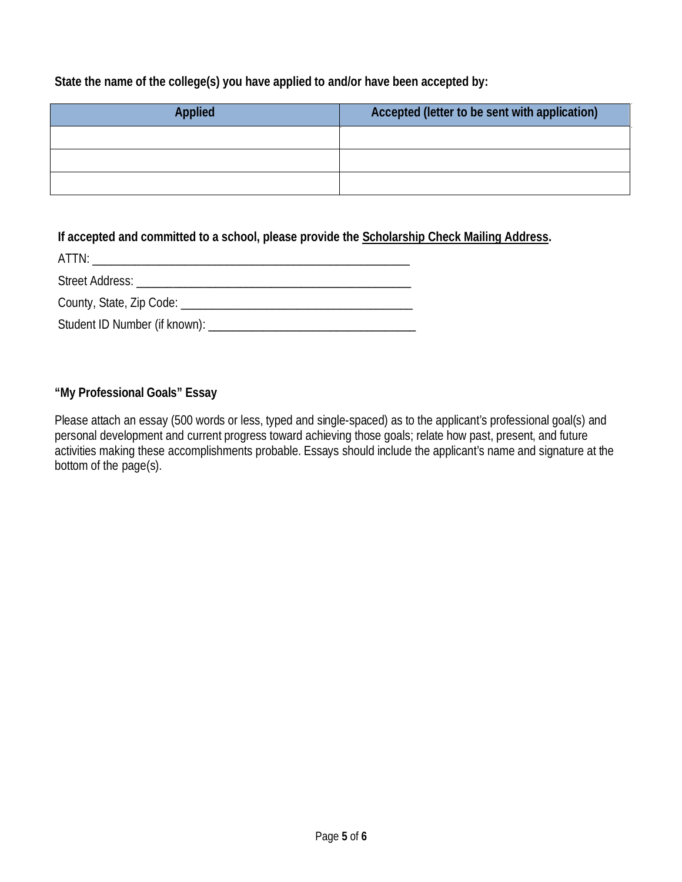**State the name of the college(s) you have applied to and/or have been accepted by:**

| Applied | Accepted (letter to be sent with application) |
|---------|-----------------------------------------------|
|         |                                               |
|         |                                               |
|         |                                               |

**If accepted and committed to a school, please provide the Scholarship Check Mailing Address.**

| ATTN:                                                                                                                                                                                                                          |
|--------------------------------------------------------------------------------------------------------------------------------------------------------------------------------------------------------------------------------|
| Street Address: The Contract of the Contract of the Contract of the Contract of the Contract of the Contract of the Contract of the Contract of the Contract of the Contract of the Contract of the Contract of the Contract o |
|                                                                                                                                                                                                                                |
| Student ID Number (if known): _____________                                                                                                                                                                                    |

**"My Professional Goals" Essay**

Please attach an essay (500 words or less, typed and single-spaced) as to the applicant's professional goal(s) and personal development and current progress toward achieving those goals; relate how past, present, and future activities making these accomplishments probable. Essays should include the applicant's name and signature at the bottom of the page(s).